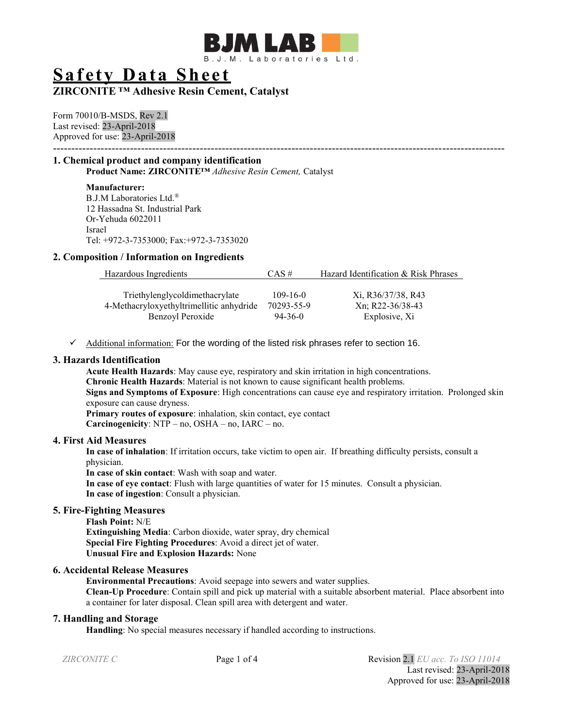

# **Safety Data Sheet**

# **ZIRCONITE ™ Adhesive Resin Cement, Catalyst**

Form 70010/B-MSDS, Rev 2.1 Last revised: 23-April-2018 Approved for use: 23-April-2018 ---------------------------------------------------------------------------------------------------------------------------

# **1. Chemical product and company identification**

**Product Name: ZIRCONITE™** *Adhesive Resin Cement,* Catalyst

**Manufacturer:** B.J.M Laboratories Ltd.® 12 Hassadna St. Industrial Park Or-Yehuda 6022011 Israel Tel: +972-3-7353000; Fax:+972-3-7353020

#### **2. Composition / Information on Ingredients**

| Hazardous Ingredients                    | $CAS \#$       | Hazard Identification & Risk Phrases |
|------------------------------------------|----------------|--------------------------------------|
|                                          |                |                                      |
| Triethylenglycoldimethacrylate           | $109 - 16 - 0$ | Xi, R36/37/38, R43                   |
| 4-Methacryloxyethyltrimellitic anhydride | 70293-55-9     | Xn; R22-36/38-43                     |
| Benzoyl Peroxide                         | $94-36-0$      | Explosive, Xi                        |

✓ Additional information: For the wording of the listed risk phrases refer to section 16.

## **3. Hazards Identification**

**Acute Health Hazards**: May cause eye, respiratory and skin irritation in high concentrations. **Chronic Health Hazards**: Material is not known to cause significant health problems. **Signs and Symptoms of Exposure**: High concentrations can cause eye and respiratory irritation. Prolonged skin exposure can cause dryness. **Primary routes of exposure**: inhalation, skin contact, eye contact **Carcinogenicity**: NTP – no, OSHA – no, IARC – no.

#### **4. First Aid Measures**

**In case of inhalation**: If irritation occurs, take victim to open air. If breathing difficulty persists, consult a physician.

**In case of skin contact**: Wash with soap and water.

**In case of eye contact**: Flush with large quantities of water for 15 minutes. Consult a physician. **In case of ingestion**: Consult a physician.

# **5. Fire-Fighting Measures**

**Flash Point:** N/E **Extinguishing Media**: Carbon dioxide, water spray, dry chemical **Special Fire Fighting Procedures**: Avoid a direct jet of water. **Unusual Fire and Explosion Hazards:** None

# **6. Accidental Release Measures**

**Environmental Precautions**: Avoid seepage into sewers and water supplies. **Clean-Up Procedure**: Contain spill and pick up material with a suitable absorbent material. Place absorbent into a container for later disposal. Clean spill area with detergent and water.

#### **7. Handling and Storage**

**Handling**: No special measures necessary if handled according to instructions.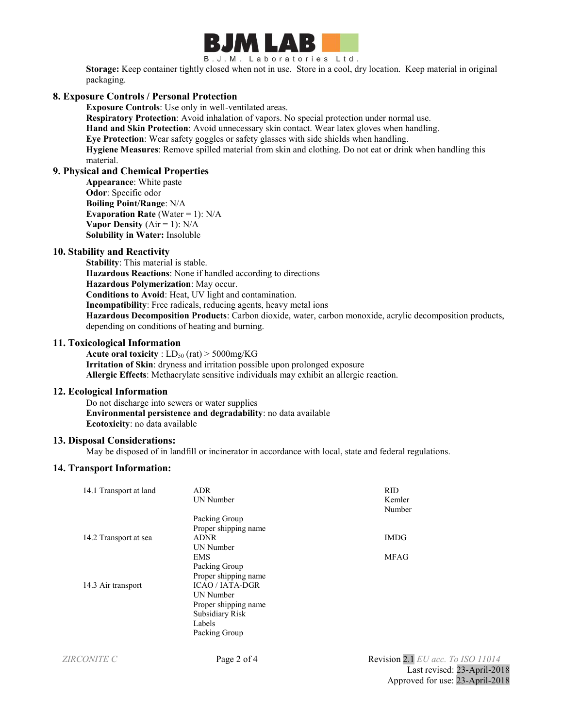

B.J.M. Laboratories Ltd.

**Storage:** Keep container tightly closed when not in use. Store in a cool, dry location. Keep material in original packaging.

# **8. Exposure Controls / Personal Protection**

**Exposure Controls**: Use only in well-ventilated areas.

**Respiratory Protection**: Avoid inhalation of vapors. No special protection under normal use.

**Hand and Skin Protection**: Avoid unnecessary skin contact. Wear latex gloves when handling.

**Eye Protection**: Wear safety goggles or safety glasses with side shields when handling.

**Hygiene Measures**: Remove spilled material from skin and clothing. Do not eat or drink when handling this material.

# **9. Physical and Chemical Properties**

**Appearance**: White paste **Odor**: Specific odor **Boiling Point/Range**: N/A **Evaporation Rate** (Water  $= 1$ ): N/A **Vapor Density**  $(Air = 1)$ :  $N/A$ **Solubility in Water:** Insoluble

#### **10. Stability and Reactivity**

**Stability**: This material is stable. **Hazardous Reactions**: None if handled according to directions **Hazardous Polymerization**: May occur. **Conditions to Avoid**: Heat, UV light and contamination. **Incompatibility**: Free radicals, reducing agents, heavy metal ions **Hazardous Decomposition Products**: Carbon dioxide, water, carbon monoxide, acrylic decomposition products, depending on conditions of heating and burning.

#### **11. Toxicological Information**

**Acute oral toxicity** :  $LD_{50}$  (rat)  $>$  5000mg/KG **Irritation of Skin**: dryness and irritation possible upon prolonged exposure **Allergic Effects**: Methacrylate sensitive individuals may exhibit an allergic reaction.

#### **12. Ecological Information**

Do not discharge into sewers or water supplies **Environmental persistence and degradability**: no data available **Ecotoxicity**: no data available

#### **13. Disposal Considerations:**

May be disposed of in landfill or incinerator in accordance with local, state and federal regulations.

#### **14. Transport Information:**

| 14.1 Transport at land | <b>ADR</b><br>UN Number | <b>RID</b><br>Kemler<br>Number    |
|------------------------|-------------------------|-----------------------------------|
|                        | Packing Group           |                                   |
|                        | Proper shipping name    |                                   |
| 14.2 Transport at sea  | <b>ADNR</b>             | <b>IMDG</b>                       |
|                        | UN Number               |                                   |
|                        | EMS                     | <b>MFAG</b>                       |
|                        | Packing Group           |                                   |
|                        | Proper shipping name    |                                   |
| 14.3 Air transport     | <b>ICAO / IATA-DGR</b>  |                                   |
|                        | UN Number               |                                   |
|                        | Proper shipping name    |                                   |
|                        | <b>Subsidiary Risk</b>  |                                   |
|                        | Labels                  |                                   |
|                        | Packing Group           |                                   |
| <b>ZIRCONITE C</b>     | Page 2 of 4             | Revision 2.1 EU acc. To ISO 11014 |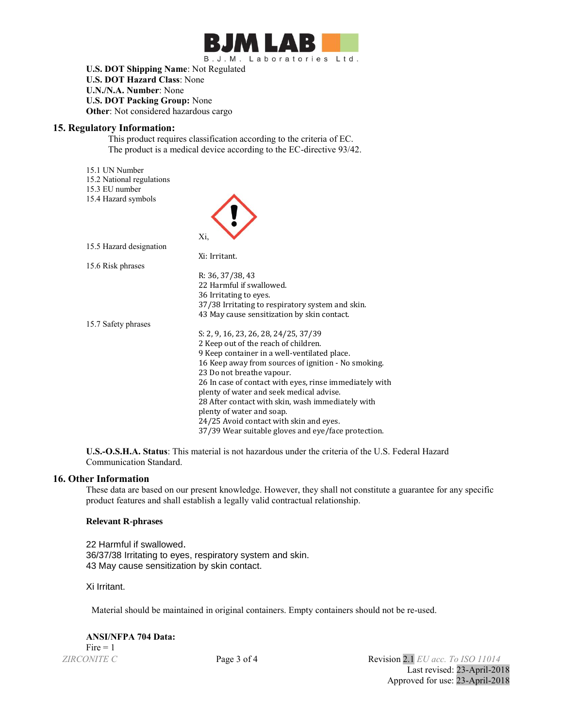

**U.S. DOT Shipping Name**: Not Regulated **U.S. DOT Hazard Class**: None **U.N./N.A. Number**: None **U.S. DOT Packing Group:** None **Other**: Not considered hazardous cargo

#### **15. Regulatory Information:**

This product requires classification according to the criteria of EC. The product is a medical device according to the EC-directive 93/42.

15.1 UN Number

- 15.2 National regulations
- 15.3 EU number
- 15.4 Hazard symbols

| 15.4 Hazard symbols     |                                                         |
|-------------------------|---------------------------------------------------------|
|                         | Xi,                                                     |
| 15.5 Hazard designation |                                                         |
|                         | Xi: Irritant.                                           |
| 15.6 Risk phrases       |                                                         |
|                         | R: 36, 37/38, 43                                        |
|                         | 22 Harmful if swallowed.                                |
|                         | 36 Irritating to eyes.                                  |
|                         | 37/38 Irritating to respiratory system and skin.        |
|                         | 43 May cause sensitization by skin contact.             |
| 15.7 Safety phrases     |                                                         |
|                         | S: 2, 9, 16, 23, 26, 28, 24/25, 37/39                   |
|                         | 2 Keep out of the reach of children.                    |
|                         | 9 Keep container in a well-ventilated place.            |
|                         | 16 Keep away from sources of ignition - No smoking.     |
|                         | 23 Do not breathe vapour.                               |
|                         | 26 In case of contact with eyes, rinse immediately with |
|                         | plenty of water and seek medical advise.                |
|                         | 28 After contact with skin, wash immediately with       |
|                         | plenty of water and soap.                               |
|                         | 24/25 Avoid contact with skin and eyes.                 |
|                         | 37/39 Wear suitable gloves and eye/face protection.     |

**U.S.-O.S.H.A. Status**: This material is not hazardous under the criteria of the U.S. Federal Hazard Communication Standard.

#### **16. Other Information**

These data are based on our present knowledge. However, they shall not constitute a guarantee for any specific product features and shall establish a legally valid contractual relationship.

#### **Relevant R-phrases**

22 Harmful if swallowed. 36/37/38 Irritating to eyes, respiratory system and skin. 43 May cause sensitization by skin contact.

Xi Irritant.

Material should be maintained in original containers. Empty containers should not be re-used.

# **ANSI/NFPA 704 Data:**

 $Fire = 1$ 

*ZIRCONITE C* Page 3 of 4 Revision 2.1 *EU acc. To ISO 11014* Last revised: 23-April-2018 Approved for use: 23-April-2018